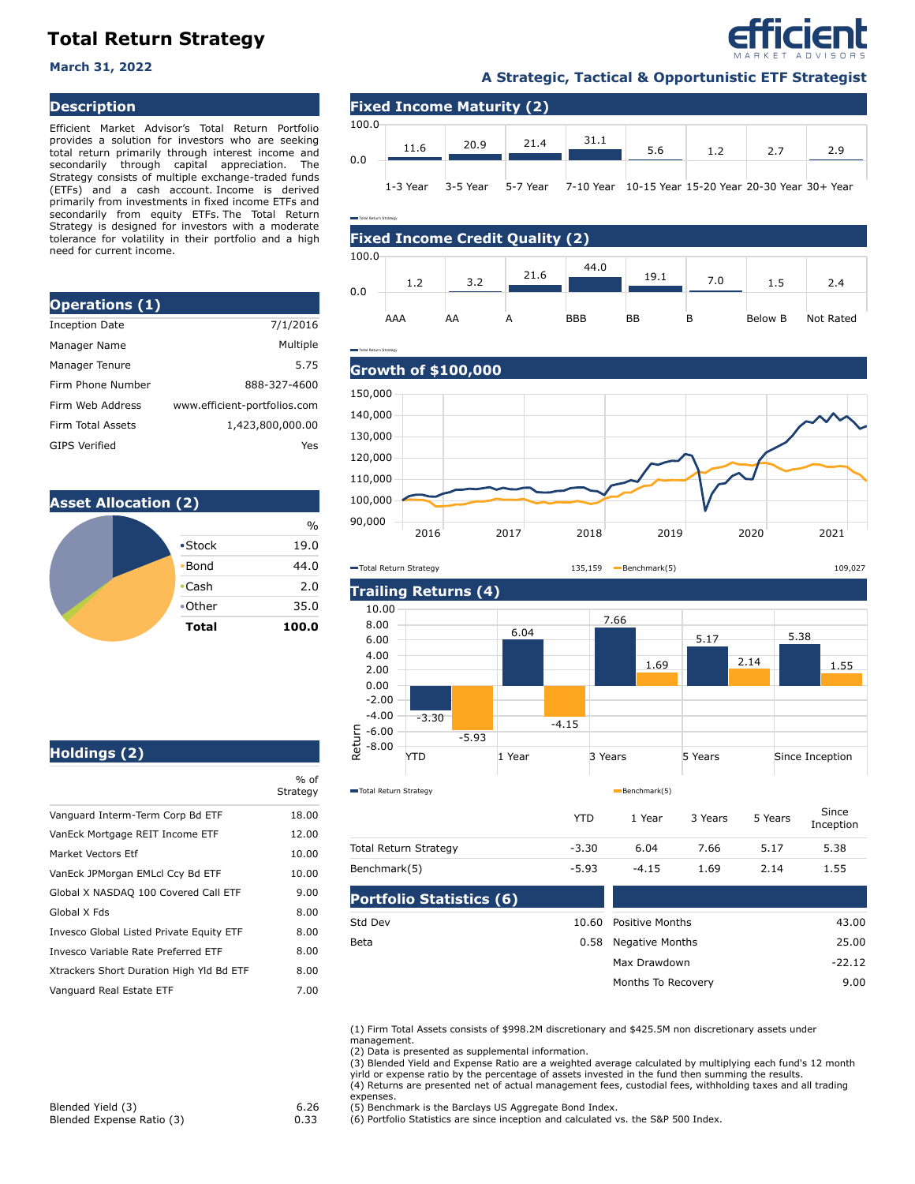# **Total Return Strategy**

### **Description**

Efficient Market Advisor's Total Return Portfolio provides a solution for investors who are seeking total return primarily through interest income and secondarily through capital appreciation. The Strategy consists of multiple exchange-traded funds (ETFs) and a cash account. Income is derived primarily from investments in fixed income ETFs and secondarily from equity ETFs. The Total Return Strategy is designed for investors with a moderate tolerance for volatility in their portfolio and a high need for current income.

| <b>Operations (1)</b>    |                              |
|--------------------------|------------------------------|
| <b>Inception Date</b>    | 7/1/2016                     |
| Manager Name             | Multiple                     |
| Manager Tenure           | 5.75                         |
| Firm Phone Number        | 888-327-4600                 |
| Firm Web Address         | www.efficient-portfolios.com |
| <b>Firm Total Assets</b> | 1,423,800,000.00             |
| <b>GIPS Verified</b>     | Yes                          |

Total Return Strategy



## **A Strategic, Tactical & Opportunistic ETF Strategist March 31, 2022**

efficient

|       |          | <b>Fixed Income Maturity (2)</b> |          |           |                                           |     |     |     |
|-------|----------|----------------------------------|----------|-----------|-------------------------------------------|-----|-----|-----|
| 100.0 | 11.6     | 20.9                             | 21.4     | 31.1      | 5.6                                       | 1.2 | 2.7 | 2.9 |
| 0.0   | 1-3 Year | 3-5 Year                         | 5-7 Year | 7-10 Year | 10-15 Year 15-20 Year 20-30 Year 30+ Year |     |     |     |







|  |  | Holdings (2) |
|--|--|--------------|

|                                          | $%$ of<br>Strategy |
|------------------------------------------|--------------------|
| Vanguard Interm-Term Corp Bd ETF         | 18.00              |
| VanEck Mortgage REIT Income ETF          | 12.00              |
| Market Vectors Etf                       | 10.00              |
| VanEck JPMorgan EMLcl Ccy Bd ETF         | 10.00              |
| Global X NASDAQ 100 Covered Call ETF     | 9.00               |
| Global X Fds                             | 8.00               |
| Invesco Global Listed Private Equity ETF | 8.00               |
| Invesco Variable Rate Preferred ETF      | 8.00               |
| Xtrackers Short Duration High Yld Bd ETF | 8.00               |
| Vanguard Real Estate ETF                 | 7.00               |
|                                          |                    |

| Dautfalia Ctatistica (C) |         |         |         |         |                    |
|--------------------------|---------|---------|---------|---------|--------------------|
| Benchmark(5)             | $-5.93$ | $-4.15$ | 1.69    | 2.14    | 1.55               |
| Total Return Strategy    | $-3.30$ | 6.04    | 7.66    | 5.17    | 5.38               |
|                          | YTD     | 1 Year  | 3 Years | 5 Years | Since<br>Inception |

| <b>Portfolio Statistics (6)</b> |  |                       |          |
|---------------------------------|--|-----------------------|----------|
| Std Dev                         |  | 10.60 Positive Months | 43.00    |
| Beta                            |  | 0.58 Negative Months  | 25.00    |
|                                 |  | Max Drawdown          | $-22.12$ |
|                                 |  | Months To Recovery    | 9.00     |
|                                 |  |                       |          |

(1) Firm Total Assets consists of \$998.2M discretionary and \$425.5M non discretionary assets under management.

(2) Data is presented as supplemental information.

(3) Blended Yield and Expense Ratio are a weighted average calculated by multiplying each fund's 12 month yirld or expense ratio by the percentage of assets invested in the fund then summing the results. (4) Returns are presented net of actual management fees, custodial fees, withholding taxes and all trading

expenses.

(5) Benchmark is the Barclays US Aggregate Bond Index.

(6) Portfolio Statistics are since inception and calculated vs. the S&P 500 Index.